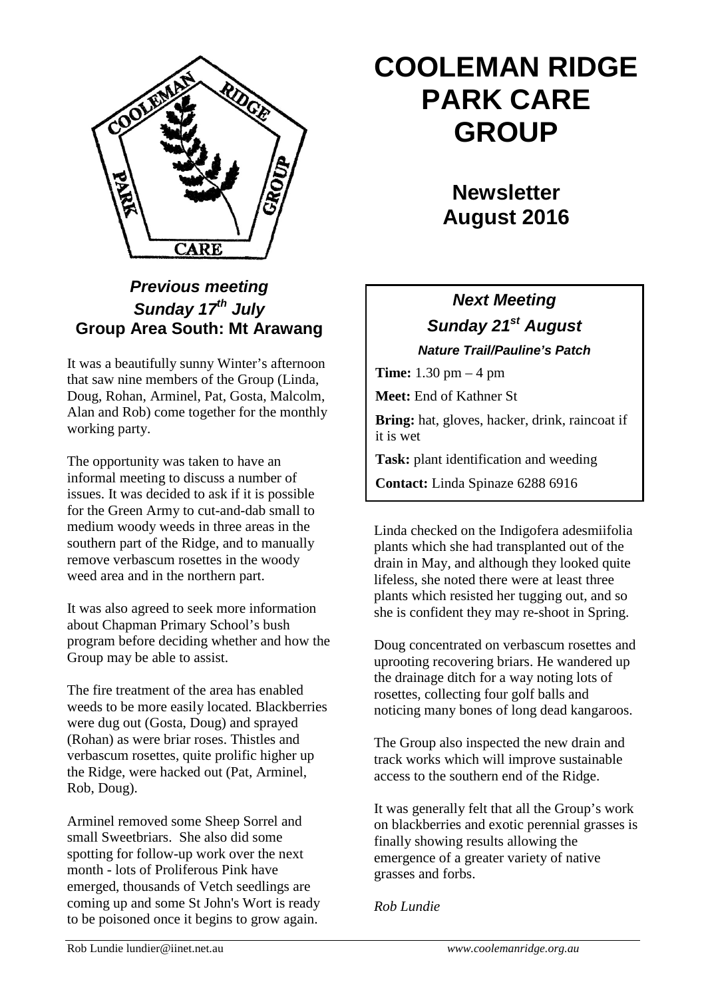

## *Previous meeting Sunday 17th July* **Group Area South: Mt Arawang**

It was a beautifully sunny Winter's afternoon that saw nine members of the Group (Linda, Doug, Rohan, Arminel, Pat, Gosta, Malcolm, Alan and Rob) come together for the monthly working party.

The opportunity was taken to have an informal meeting to discuss a number of issues. It was decided to ask if it is possible for the Green Army to cut-and-dab small to medium woody weeds in three areas in the southern part of the Ridge, and to manually remove verbascum rosettes in the woody weed area and in the northern part.

It was also agreed to seek more information about Chapman Primary School's bush program before deciding whether and how the Group may be able to assist.

The fire treatment of the area has enabled weeds to be more easily located. Blackberries were dug out (Gosta, Doug) and sprayed (Rohan) as were briar roses. Thistles and verbascum rosettes, quite prolific higher up the Ridge, were hacked out (Pat, Arminel, Rob, Doug).

Arminel removed some Sheep Sorrel and small Sweetbriars. She also did some spotting for follow-up work over the next month - lots of Proliferous Pink have emerged, thousands of Vetch seedlings are coming up and some St John's Wort is ready to be poisoned once it begins to grow again.

# **COOLEMAN RIDGE PARK CARE GROUP**

**Newsletter August 2016** 

## *Next Meeting Sunday 21st August Nature Trail/Pauline's Patch*

**Time:** 1.30 pm – 4 pm

**Meet:** End of Kathner St

**Bring:** hat, gloves, hacker, drink, raincoat if it is wet

**Task:** plant identification and weeding

**Contact:** Linda Spinaze 6288 6916

Linda checked on the Indigofera adesmiifolia plants which she had transplanted out of the drain in May, and although they looked quite lifeless, she noted there were at least three plants which resisted her tugging out, and so she is confident they may re-shoot in Spring.

Doug concentrated on verbascum rosettes and uprooting recovering briars. He wandered up the drainage ditch for a way noting lots of rosettes, collecting four golf balls and noticing many bones of long dead kangaroos.

The Group also inspected the new drain and track works which will improve sustainable access to the southern end of the Ridge.

It was generally felt that all the Group's work on blackberries and exotic perennial grasses is finally showing results allowing the emergence of a greater variety of native grasses and forbs.

*Rob Lundie*